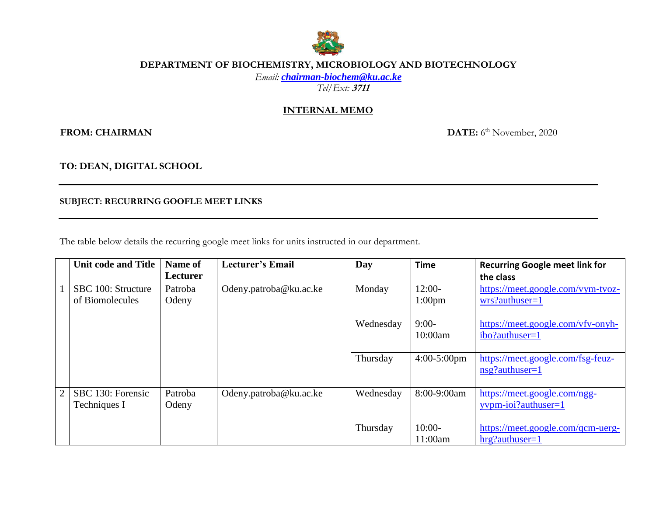

## **DEPARTMENT OF BIOCHEMISTRY, MICROBIOLOGY AND BIOTECHNOLOGY**

*Email: [chairman-biochem@ku.ac.ke](mailto:chairman-biochem@ku.ac.ke)*

*Tel/Ext:* **<sup>3711</sup>**

## **INTERNAL MEMO**

 $FROM: CHAIRMAN$ 

DATE: 6<sup>th</sup> November, 2020

**TO: DEAN, DIGITAL SCHOOL**

**SUBJECT: RECURRING GOOFLE MEET LINKS**

The table below details the recurring google meet links for units instructed in our department.

| <b>Unit code and Title</b> | Name of  | <b>Lecturer's Email</b> | Day       | <b>Time</b>        | <b>Recurring Google meet link for</b> |
|----------------------------|----------|-------------------------|-----------|--------------------|---------------------------------------|
|                            | Lecturer |                         |           |                    | the class                             |
| SBC 100: Structure         | Patroba  | Odeny.patroba@ku.ac.ke  | Monday    | $12:00-$           | https://meet.google.com/vym-tvoz-     |
| of Biomolecules            | Odeny    |                         |           | 1:00 <sub>pm</sub> | wrs?authuser=1                        |
|                            |          |                         |           |                    |                                       |
|                            |          |                         | Wednesday | $9:00-$            | https://meet.google.com/vfv-onyh-     |
|                            |          |                         |           | 10:00am            | ibo?authuser=1                        |
|                            |          |                         |           |                    |                                       |
|                            |          |                         | Thursday  | $4:00-5:00$ pm     | https://meet.google.com/fsg-feuz-     |
|                            |          |                         |           |                    | $nsg$ ? authuser=1                    |
|                            |          |                         |           |                    |                                       |
| SBC 130: Forensic          | Patroba  | Odeny.patroba@ku.ac.ke  | Wednesday | 8:00-9:00am        | https://meet.google.com/ngg-          |
| Techniques I               | Odeny    |                         |           |                    | yvpm-ioi?authuser=1                   |
|                            |          |                         |           |                    |                                       |
|                            |          |                         | Thursday  | $10:00-$           | https://meet.google.com/qcm-uerg-     |
|                            |          |                         |           | 11:00am            | $hrg?$ authuser=1                     |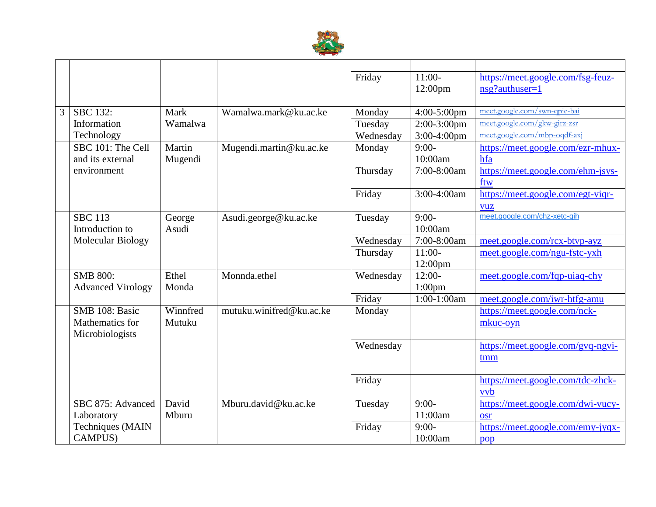

|                |                          |          |                          | Friday    | $11:00-$          | https://meet.google.com/fsg-feuz- |
|----------------|--------------------------|----------|--------------------------|-----------|-------------------|-----------------------------------|
|                |                          |          |                          |           | 12:00pm           | nsg?authuser=1                    |
|                |                          |          |                          |           |                   |                                   |
| $\overline{3}$ | <b>SBC 132:</b>          | Mark     | Wamalwa.mark@ku.ac.ke    | Monday    | 4:00-5:00pm       | meet.google.com/swn-qpie-bai      |
|                | Information              | Wamalwa  |                          | Tuesday   | $2:00-3:00$ pm    | meet.google.com/gkw-girz-zsr      |
|                | Technology               |          |                          | Wednesday | $3:00-4:00$ pm    | meet.google.com/mbp-oqdf-axj      |
|                | SBC 101: The Cell        | Martin   | Mugendi.martin@ku.ac.ke  | Monday    | $9:00-$           | https://meet.google.com/ezr-mhux- |
|                | and its external         | Mugendi  |                          |           | 10:00am           | hfa                               |
|                | environment              |          |                          | Thursday  | 7:00-8:00am       | https://meet.google.com/ehm-jsys- |
|                |                          |          |                          |           |                   | ftw                               |
|                |                          |          |                          | Friday    | 3:00-4:00am       | https://meet.google.com/egt-viqr- |
|                |                          |          |                          |           |                   | <b>vuz</b>                        |
|                | <b>SBC 113</b>           | George   | Asudi.george@ku.ac.ke    | Tuesday   | $9:00-$           | meet.google.com/chz-xetc-qih      |
|                | Introduction to          | Asudi    |                          |           | 10:00am           |                                   |
|                | Molecular Biology        |          |                          | Wednesday | 7:00-8:00am       | meet.google.com/rcx-btvp-ayz      |
|                |                          |          |                          | Thursday  | $11:00-$          | meet.google.com/ngu-fstc-yxh      |
|                |                          |          |                          |           | $12:00 \text{pm}$ |                                   |
|                | <b>SMB 800:</b>          | Ethel    | Monnda.ethel             | Wednesday | $12:00-$          | meet.google.com/fqp-uiaq-chy      |
|                | <b>Advanced Virology</b> | Monda    |                          |           | $1:00$ pm         |                                   |
|                |                          |          |                          | Friday    | 1:00-1:00am       | meet.google.com/iwr-htfg-amu      |
|                | SMB 108: Basic           | Winnfred | mutuku.winifred@ku.ac.ke | Monday    |                   | https://meet.google.com/nck-      |
|                | Mathematics for          | Mutuku   |                          |           |                   | mkuc-ovn                          |
|                | Microbiologists          |          |                          |           |                   |                                   |
|                |                          |          |                          | Wednesday |                   | https://meet.google.com/gvq-ngvi- |
|                |                          |          |                          |           |                   | tmm                               |
|                |                          |          |                          |           |                   |                                   |
|                |                          |          |                          | Friday    |                   | https://meet.google.com/tdc-zhck- |
|                |                          |          |                          |           |                   | vvb                               |
|                | SBC 875: Advanced        | David    | Mburu.david@ku.ac.ke     | Tuesday   | $9:00-$           | https://meet.google.com/dwi-vucy- |
|                | Laboratory               | Mburu    |                          |           | 11:00am           | osr                               |
|                | Techniques (MAIN         |          |                          | Friday    | $9:00-$           | https://meet.google.com/emy-jyqx- |
|                | <b>CAMPUS)</b>           |          |                          |           | 10:00am           | pop                               |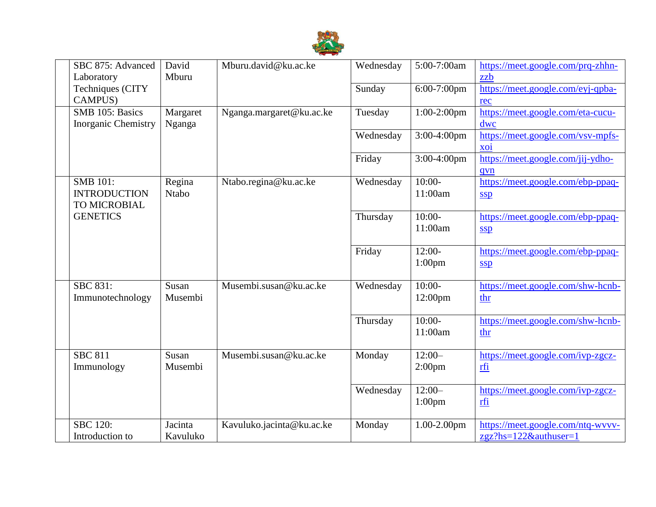

| SBC 875: Advanced<br>Laboratory                        | David<br>Mburu         | Mburu.david@ku.ac.ke      | Wednesday | 5:00-7:00am                     | https://meet.google.com/prq-zhhn-<br>zzb                      |
|--------------------------------------------------------|------------------------|---------------------------|-----------|---------------------------------|---------------------------------------------------------------|
| Techniques (CITY<br>CAMPUS)                            |                        |                           | Sunday    | 6:00-7:00pm                     | https://meet.google.com/eyj-qpba-<br>rec                      |
| SMB 105: Basics<br><b>Inorganic Chemistry</b>          | Margaret<br>Nganga     | Nganga.margaret@ku.ac.ke  | Tuesday   | $1:00-2:00$ pm                  | https://meet.google.com/eta-cucu-<br>dwc                      |
|                                                        |                        |                           | Wednesday | 3:00-4:00pm                     | https://meet.google.com/vsv-mpfs-<br>$\overline{0}$           |
|                                                        |                        |                           | Friday    | $3:00-4:00$ pm                  | https://meet.google.com/jij-ydho-<br>qvn                      |
| <b>SMB 101:</b><br><b>INTRODUCTION</b><br>TO MICROBIAL | Regina<br><b>Ntabo</b> | Ntabo.regina@ku.ac.ke     | Wednesday | $10:00-$<br>11:00am             | https://meet.google.com/ebp-ppaq-<br><b>SSD</b>               |
| <b>GENETICS</b>                                        |                        |                           | Thursday  | $10:00-$<br>11:00am             | https://meet.google.com/ebp-ppaq-<br><u>ssp</u>               |
|                                                        |                        |                           | Friday    | $12:00-$<br>$1:00$ pm           | https://meet.google.com/ebp-ppaq-<br>SSD                      |
| <b>SBC 831:</b><br>Immunotechnology                    | Susan<br>Musembi       | Musembi.susan@ku.ac.ke    | Wednesday | $10:00-$<br>12:00 <sub>pm</sub> | https://meet.google.com/shw-hcnb-<br>thr                      |
|                                                        |                        |                           | Thursday  | $10:00-$<br>11:00am             | https://meet.google.com/shw-hcnb-<br>thr                      |
| <b>SBC 811</b><br>Immunology                           | Susan<br>Musembi       | Musembi.susan@ku.ac.ke    | Monday    | $12:00-$<br>2:00 <sub>pm</sub>  | https://meet.google.com/ivp-zgcz-<br>rfi                      |
|                                                        |                        |                           | Wednesday | $12:00-$<br>$1:00$ pm           | https://meet.google.com/ivp-zgcz-<br><u>rfi</u>               |
| <b>SBC 120:</b><br>Introduction to                     | Jacinta<br>Kavuluko    | Kavuluko.jacinta@ku.ac.ke | Monday    | $1.00 - 2.00$ pm                | https://meet.google.com/ntq-wvvv-<br>$zgz?$ hs=122&authuser=1 |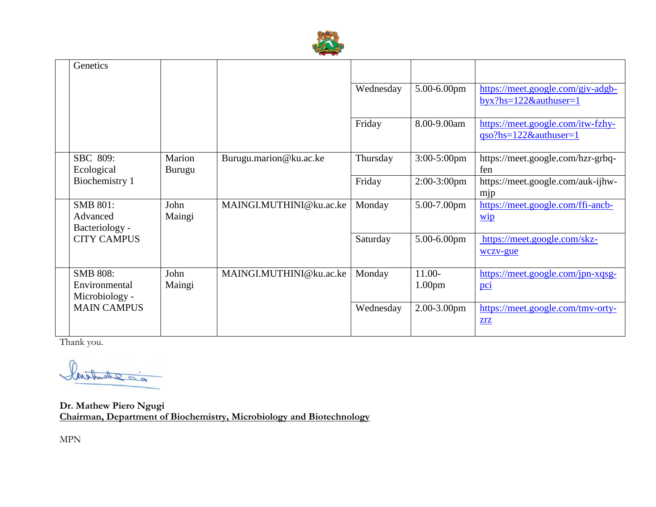

| Genetics                                           |                         |                         |           |                                |                                                                   |
|----------------------------------------------------|-------------------------|-------------------------|-----------|--------------------------------|-------------------------------------------------------------------|
|                                                    |                         |                         | Wednesday | 5.00-6.00pm                    | https://meet.google.com/giv-adgb-<br>$byx?hs=122&\text{author}=1$ |
|                                                    |                         |                         | Friday    | 8.00-9.00am                    | https://meet.google.com/itw-fzhy-<br>$qso?$ hs=122&authuser=1     |
| SBC 809:<br>Ecological                             | Marion<br><b>Burugu</b> | Burugu.marion@ku.ac.ke  | Thursday  | 3:00-5:00pm                    | https://meet.google.com/hzr-grbq-<br>fen                          |
| Biochemistry 1                                     |                         |                         | Friday    | 2:00-3:00pm                    | https://meet.google.com/auk-ijhw-<br>mjp                          |
| <b>SMB 801:</b><br>Advanced<br>Bacteriology -      | John<br>Maingi          | MAINGI.MUTHINI@ku.ac.ke | Monday    | 5.00-7.00pm                    | https://meet.google.com/ffi-ancb-<br>$\underline{\text{wip}}$     |
| <b>CITY CAMPUS</b>                                 |                         |                         | Saturday  | 5.00-6.00pm                    | https://meet.google.com/skz-<br>wczy-gue                          |
| <b>SMB 808:</b><br>Environmental<br>Microbiology - | John<br>Maingi          | MAINGI.MUTHINI@ku.ac.ke | Monday    | $11.00-$<br>1.00 <sub>pm</sub> | https://meet.google.com/jpn-xqsg-<br>pc <sub>i</sub>              |
| <b>MAIN CAMPUS</b>                                 |                         |                         | Wednesday | 2.00-3.00pm                    | https://meet.google.com/tmv-orty-<br>ZrZ                          |

Thank you.

20 Schunker

**Dr. Mathew Piero Ngugi Chairman, Department of Biochemistry, Microbiology and Biotechnology**

MPN